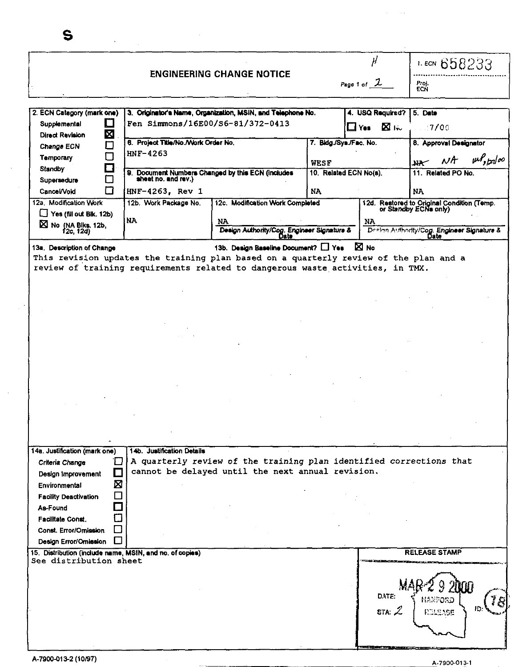|                                         |        |                                                          |                                                                                       |                        | $\mu$                   | $1.$ ECN 658233                                                     |
|-----------------------------------------|--------|----------------------------------------------------------|---------------------------------------------------------------------------------------|------------------------|-------------------------|---------------------------------------------------------------------|
|                                         |        |                                                          | <b>ENGINEERING CHANGE NOTICE</b>                                                      |                        | Page 1 of $\mathcal{L}$ | Proj.<br>ECN                                                        |
|                                         |        |                                                          |                                                                                       |                        |                         |                                                                     |
| 2. ECN Category (mark one)              |        |                                                          | 3. Originator's Name, Organization, MSIN, and Telephone No.                           |                        | 4. USQ Required?        | 5. Date                                                             |
| Supplemental                            | O      | Fen Simmons/16E00/S6-81/372-0413                         |                                                                                       |                        | $\Box$ Yes $\Box$ Ku    | $-7700$                                                             |
| <b>Direct Revision</b>                  | Χ<br>口 | 6. Project Title/No./Work Order No.                      |                                                                                       | 7. Bldg./Sys./Fac. No. |                         | 8. Approval Designator                                              |
| <b>Change ECN</b><br><b>Temporary</b>   | $\Box$ | $HNF-4263$                                               |                                                                                       |                        |                         |                                                                     |
| Standby                                 | $\Box$ |                                                          |                                                                                       | WESF                   |                         | $\mu$ <sup>p</sup> <sub>s/27</sub> /00<br>NÆ<br>$M^+$               |
| Supersedure                             | О      |                                                          | 9. Document Numbers Changed by this ECN (includes sheet no. and rev.)                 |                        | 10. Related ECN No(s).  | 11. Related PO No.                                                  |
| Cancel/Vold                             | □      | HNF-4263, Rev 1                                          |                                                                                       | <b>NA</b>              |                         | NA                                                                  |
| 12a. Modification Work                  |        | 12b. Work Package No.                                    | 12c. Modification Work Completed                                                      |                        |                         | 12d. Restored to Original Condition (Temp.<br>or Standby ECNs only) |
| Yes (fill out Bik. 12b)                 |        | <b>NA</b>                                                | NA.                                                                                   |                        | NA                      |                                                                     |
| $\boxtimes$ No (NA Blks. 12b, f2c, 12d) |        |                                                          | Design Authority/Cog. Engineer Signature &                                            |                        |                         | Design Authority/Cog. Engineer Signature &                          |
| 13a. Description of Change              |        |                                                          | 13b. Design Baseline Document? [ Yes                                                  |                        | <b>X</b> No             |                                                                     |
|                                         |        |                                                          | This revision updates the training plan based on a quarterly review of the plan and a |                        |                         |                                                                     |
|                                         |        |                                                          | review of training requirements related to dangerous waste activities, in TMX.        |                        |                         |                                                                     |
|                                         |        |                                                          |                                                                                       |                        |                         |                                                                     |
|                                         |        |                                                          |                                                                                       |                        |                         |                                                                     |
|                                         |        |                                                          |                                                                                       |                        |                         |                                                                     |
|                                         |        |                                                          |                                                                                       |                        |                         |                                                                     |
|                                         |        |                                                          |                                                                                       |                        |                         |                                                                     |
|                                         |        |                                                          |                                                                                       |                        |                         |                                                                     |
|                                         |        |                                                          |                                                                                       |                        |                         |                                                                     |
|                                         |        |                                                          |                                                                                       |                        |                         |                                                                     |
|                                         |        |                                                          |                                                                                       |                        |                         |                                                                     |
|                                         |        |                                                          |                                                                                       |                        |                         |                                                                     |
|                                         |        |                                                          |                                                                                       |                        |                         |                                                                     |
|                                         |        |                                                          |                                                                                       |                        |                         |                                                                     |
|                                         |        |                                                          |                                                                                       |                        |                         |                                                                     |
|                                         |        |                                                          |                                                                                       |                        |                         |                                                                     |
|                                         |        |                                                          |                                                                                       |                        |                         |                                                                     |
|                                         |        |                                                          |                                                                                       |                        |                         |                                                                     |
|                                         |        |                                                          |                                                                                       |                        |                         |                                                                     |
| 14a. Justification (mark one)           |        | 14b. Justification Details                               |                                                                                       |                        |                         |                                                                     |
| Criteria Change                         |        |                                                          | A quarterly review of the training plan identified corrections that                   |                        |                         |                                                                     |
| Design Improvement                      |        |                                                          | cannot be delayed until the next annual revision.                                     |                        |                         |                                                                     |
| Environmental                           | ⊠      |                                                          |                                                                                       |                        |                         |                                                                     |
| <b>Facility Deactivation</b>            |        |                                                          |                                                                                       |                        |                         |                                                                     |
| As-Found                                |        |                                                          |                                                                                       |                        |                         |                                                                     |
| <b>Facilitate Const.</b>                |        |                                                          |                                                                                       |                        |                         |                                                                     |
| Const. Error/Omission                   |        |                                                          |                                                                                       |                        |                         |                                                                     |
| Design Error/Omission                   |        |                                                          |                                                                                       |                        |                         |                                                                     |
|                                         |        | 15. Distribution (include name, MSIN, and no. of copies) |                                                                                       |                        |                         | <b>RELEASE STAMP</b>                                                |
| See distribution sheet                  |        |                                                          |                                                                                       |                        |                         |                                                                     |
|                                         |        |                                                          |                                                                                       |                        |                         |                                                                     |
|                                         |        |                                                          |                                                                                       |                        |                         |                                                                     |
|                                         |        |                                                          |                                                                                       |                        | DATE:                   |                                                                     |
|                                         |        |                                                          |                                                                                       |                        |                         | Hanford                                                             |
|                                         |        |                                                          |                                                                                       |                        | STA: $Z$                | ID.<br><b>PELSASE</b>                                               |

*Committee Committee States* 

 $\sim 10^{-1}$ 

 $\hat{\mathcal{L}}_{\text{max}}$  and  $\hat{\mathcal{L}}_{\text{max}}$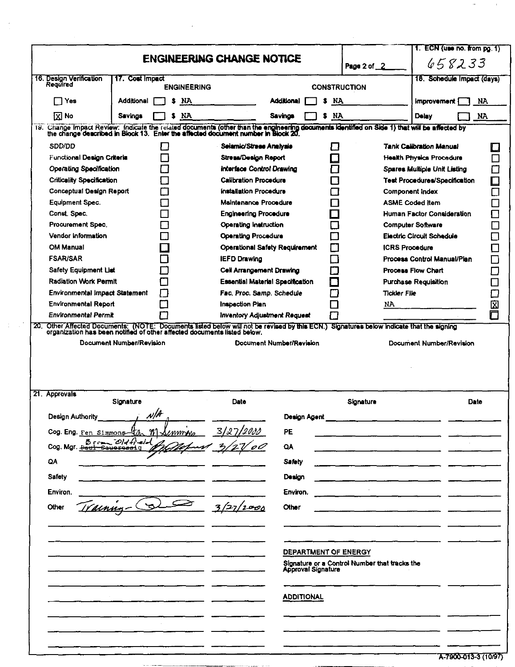|                                       |                                                                                                                                                                                                                                   |                                         |                      |          |                                               |                                      | 1. ECN (use no. from pg. 1) |             |
|---------------------------------------|-----------------------------------------------------------------------------------------------------------------------------------------------------------------------------------------------------------------------------------|-----------------------------------------|----------------------|----------|-----------------------------------------------|--------------------------------------|-----------------------------|-------------|
|                                       |                                                                                                                                                                                                                                   | <b>ENGINEERING CHANGE NOTICE</b>        |                      |          | Page 2 of 2                                   |                                      | 658233                      |             |
| 16. Design Verification<br>Required   | 17. Cost Impact<br><b>ENGINEERING</b>                                                                                                                                                                                             |                                         |                      |          | <b>CONSTRUCTION</b>                           |                                      | 18. Schedule Impact (days)  |             |
| □ Yes                                 | Additional<br>NA.<br>s                                                                                                                                                                                                            |                                         | <b>Additional</b>    | NA.<br>s |                                               | <b>Improvement</b>                   |                             | NA.         |
| $\boxed{\text{X}}$ No                 | <b>NA</b><br><b>Savings</b>                                                                                                                                                                                                       |                                         | <b>Savings</b>       | NA<br>5  |                                               | Delay                                |                             | NA.         |
|                                       | 19. Change Impact Review: Indicate the related documents (other than the engineering documents identified on Side 1) that will be affected by<br>the change described in Block 13. Enter the affected document number in Block 20 |                                         |                      |          |                                               |                                      |                             |             |
| SDD/DD                                | $\mathbf{I}$                                                                                                                                                                                                                      | Seiamic/Stress Analysis                 |                      | Г.       |                                               | <b>Tank Calibration Manual</b>       |                             |             |
| Functional Design Criteria            |                                                                                                                                                                                                                                   | Stress/Design Report                    |                      |          |                                               | <b>Health Physics Procedure</b>      |                             |             |
| <b>Operating Specification</b>        |                                                                                                                                                                                                                                   | Interface Control Drawing               |                      |          |                                               | Spares Multiple Unit Listing         |                             |             |
| <b>Criticality Specification</b>      |                                                                                                                                                                                                                                   | <b>Calibration Procedure</b>            |                      |          |                                               | <b>Test Procedures/Specification</b> |                             |             |
| Conceptual Design Report              |                                                                                                                                                                                                                                   | installation Procedure                  |                      |          | Component index                               |                                      |                             | ₽<br>$\Box$ |
| Equipment Spec.                       |                                                                                                                                                                                                                                   | Maintenance Procedure                   |                      |          | <b>ASME Coded Item</b>                        |                                      |                             |             |
| Const. Spec.                          |                                                                                                                                                                                                                                   | <b>Engineering Procedure</b>            |                      |          |                                               | Human Factor Consideration           |                             | J.          |
| Procurement Spec.                     |                                                                                                                                                                                                                                   | <b>Operating Instruction</b>            |                      |          | <b>Computer Software</b>                      |                                      |                             | ᄀ           |
| Vendor Information                    |                                                                                                                                                                                                                                   | <b>Operating Procedure</b>              |                      |          |                                               | <b>Electric Circuit Schedule</b>     |                             |             |
| <b>OM Manual</b>                      |                                                                                                                                                                                                                                   | <b>Operational Safety Requirement</b>   |                      |          | <b>ICRS Procedure</b>                         |                                      |                             |             |
| <b>FSAR/SAR</b>                       |                                                                                                                                                                                                                                   | <b>IEFD Drawing</b>                     |                      |          |                                               | <b>Process Control Manual/Plan</b>   |                             |             |
| <b>Safety Equipment List</b>          |                                                                                                                                                                                                                                   | Cell Arrangement Drawing                |                      |          |                                               | <b>Process Flow Chart</b>            |                             |             |
| <b>Radiation Work Permit</b>          |                                                                                                                                                                                                                                   | <b>Essential Material Specification</b> |                      |          |                                               | Purchase Requisition                 |                             | $\Box$      |
| <b>Environmental Impact Statement</b> |                                                                                                                                                                                                                                   | Fac, Proc. Samp. Schedule               |                      |          | <b>Tickler File</b>                           |                                      |                             | $\Box$      |
| <b>Environmental Report</b>           |                                                                                                                                                                                                                                   | Inspection Plan                         |                      |          | NΆ                                            |                                      |                             | 囟           |
| Environmental Permit                  |                                                                                                                                                                                                                                   | <b>Inventory Adjustment Request</b>     |                      |          |                                               |                                      |                             | П           |
| 20.                                   | Other Affected Documents: (NOTE: Documents listed below will not be revised by this ECN.) Signatures below indicate that the signing<br>organization has been notified of other affected documents listed below.                  |                                         |                      |          |                                               |                                      |                             |             |
|                                       | Document Number/Revision                                                                                                                                                                                                          | Document Number/Revision                |                      |          |                                               | Document Number/Revision             |                             |             |
|                                       |                                                                                                                                                                                                                                   |                                         |                      |          |                                               |                                      |                             |             |
|                                       |                                                                                                                                                                                                                                   |                                         |                      |          |                                               |                                      |                             |             |
|                                       |                                                                                                                                                                                                                                   |                                         |                      |          |                                               |                                      |                             |             |
|                                       |                                                                                                                                                                                                                                   |                                         |                      |          |                                               |                                      |                             |             |
| 21. Approvals                         |                                                                                                                                                                                                                                   |                                         |                      |          |                                               |                                      |                             |             |
|                                       | Signature                                                                                                                                                                                                                         | Date                                    |                      |          | Signature                                     |                                      | Date                        |             |
| Design Authority                      | $\mathcal{N}/\mathcal{A}$                                                                                                                                                                                                         |                                         | Design Agent         |          |                                               |                                      |                             |             |
|                                       |                                                                                                                                                                                                                                   |                                         | PE                   |          |                                               |                                      |                             |             |
| Cog. Eng. Fen Simmons-                | m<br>mmna<br>$Bern_0/df$                                                                                                                                                                                                          | 127/2033                                |                      |          |                                               |                                      |                             |             |
| Cog. Mgr. <del>Paul-Saueress</del> ig |                                                                                                                                                                                                                                   |                                         | QA                   |          |                                               |                                      |                             |             |
| QA                                    |                                                                                                                                                                                                                                   |                                         | <b>Safety</b>        |          |                                               |                                      |                             |             |
| Safety                                |                                                                                                                                                                                                                                   |                                         | Design               |          |                                               |                                      |                             |             |
|                                       |                                                                                                                                                                                                                                   |                                         | Environ.             |          |                                               |                                      |                             |             |
| Environ.                              |                                                                                                                                                                                                                                   |                                         |                      |          |                                               |                                      |                             |             |
| Varnua.<br>Other                      |                                                                                                                                                                                                                                   | 3/27/2000                               | Other                |          |                                               |                                      |                             |             |
|                                       |                                                                                                                                                                                                                                   |                                         |                      |          |                                               |                                      |                             |             |
|                                       |                                                                                                                                                                                                                                   |                                         |                      |          |                                               |                                      |                             |             |
|                                       |                                                                                                                                                                                                                                   |                                         |                      |          |                                               |                                      |                             |             |
|                                       |                                                                                                                                                                                                                                   |                                         | DEPARTMENT OF ENERGY |          |                                               |                                      |                             |             |
|                                       |                                                                                                                                                                                                                                   |                                         | Approval Signature   |          | Signature or a Control Number that tracks the |                                      |                             |             |
|                                       |                                                                                                                                                                                                                                   |                                         |                      |          |                                               |                                      |                             |             |
|                                       |                                                                                                                                                                                                                                   |                                         | <b>ADDITIONAL</b>    |          |                                               |                                      |                             |             |
|                                       |                                                                                                                                                                                                                                   |                                         |                      |          |                                               |                                      |                             |             |
|                                       |                                                                                                                                                                                                                                   |                                         |                      |          |                                               |                                      |                             |             |
|                                       |                                                                                                                                                                                                                                   |                                         |                      |          |                                               |                                      |                             |             |
|                                       |                                                                                                                                                                                                                                   |                                         |                      |          |                                               |                                      |                             |             |

 $\mathcal{A}$ 

 $\frac{1}{2}$ 

 $\mathcal{X}^{(n)}$ 

 $\ddot{ }$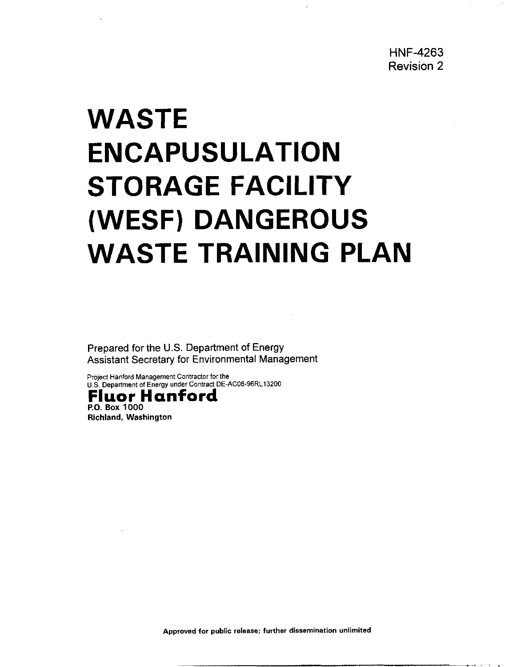# <span id="page-2-0"></span>**WASTE ENCAPUSULATION STORAGE FACILITY (WESF) DANGEROUS WASTE TRAINING PLAN**

Prepared for the U.S. Department of Energy Assistant Secretary for Environmental Management

**Project Hanford Management Contractor for the U.S. Department of Energy under Contract DE-AC06-96RL13200** 



**Richland, Washington** 

**Approved for public release: further dissemination unlimited** 

~ -\_\_ .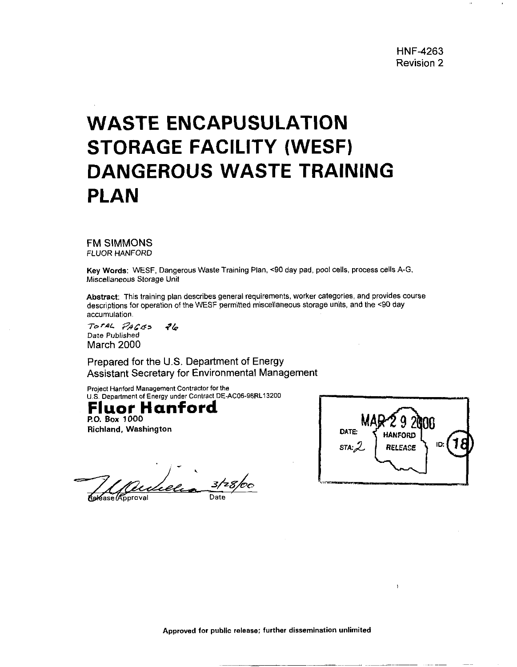# **WASTE ENCAPUSULATION STORAGE FACILITY (WESF) DANGEROUS WASTE TRAINING PLAN**

FM SIMMONS *FLUOR* HANFORD

Key Words: WESF. Dangerous Waste Training Plan, **<90** day pad, pool cells. process cells A-G. Miscellaneous Storage Unit

Abstract: This training plan describes general requirements, worker categories, and provides course descriptions for operation of the WESF permitted miscellaneous storage units, and the **c90** day accumulation.

*SbraL* **F??Cd>** ?& Date Published March 2000

Prepared for the U.S. Department of Energy Assistant Secretary for Environmental Management

Project Hanford Management Contractor for the U.S. Department of Energy under Contract DE-AC06-96RL13200

#### **RO. Box** 1000 **Fluor Hanford**

**Richland, Washington** 

ideli Reléase *(Approval* 

NA DATE: **WE** HAMFORD  $ID:$  $STA: \mathcal{L}$ RELEASE

 $\overline{\phantom{a}}$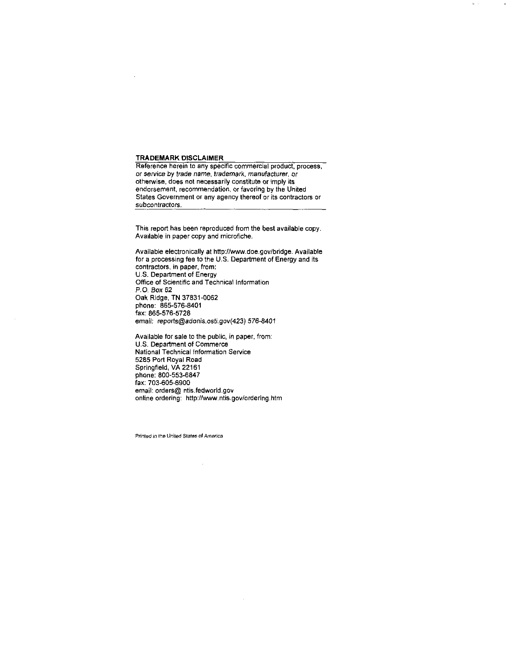#### TRADEMARK DISCLAIMER

Reference herein to any specific commercial product, process, or service by trade name, trademark, manufacturer, or otherwise. does not necessarily constitute or imply its endorsement. recommendation, or favoring by the United States Government or any agency thereof or its contractors or subcontractors.

This report has been reproduced from the best available copy. Available in paper copy and microfiche.

Available electronically at http://www.doe.gov/bridge. Available for a processing fee to the U.S. Department of Energy and its contractors, in paper, from: US Department of Energy Office of Scientific and Technical Information P.O. **Box** 62 Oak Ridge, TN 37831-0062 phone: 865-576-8401 fax: 865-576-5728 ernaii: **reports@adonis.osti.gov(423)** 576-8401

Available for sale to the public, in paper, from: U.S. Department of Commerce National Technical Information Service 9:5: *Department of Co*<br>National Technical Info<br>5285 Port Royal Road Springfield, VA22161 phone: 800-553-6847 fax: 703-605-6900 email: orders@ [ntis.fedworld.gov](http://ntis.fedworld.gov) online ordering: http://www.ntis.gov/ordering.htm

Printed in the United States of America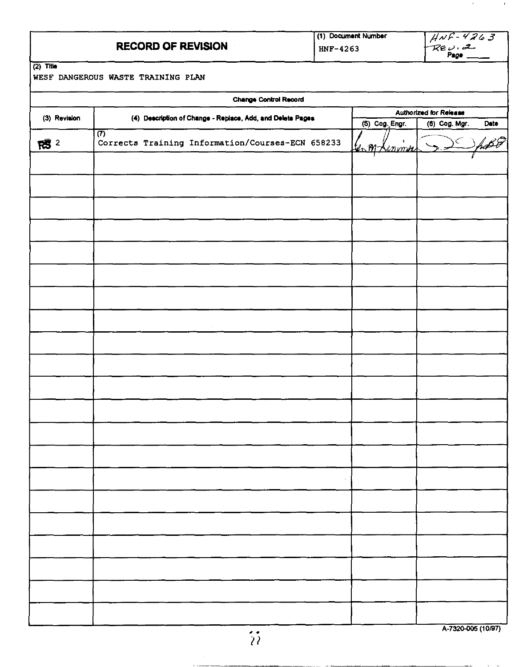|                        | <b>RECORD OF REVISION</b>                                                       | HNF-4263 | (1) Document Number                  | $HNF-4263$<br>Rev. 2                            |
|------------------------|---------------------------------------------------------------------------------|----------|--------------------------------------|-------------------------------------------------|
| $\overline{(2)}$ Title | WESF DANGEROUS WASTE TRAINING PLAN                                              |          |                                      |                                                 |
|                        | <b>Change Control Record</b>                                                    |          |                                      |                                                 |
| (3) Revision           | (4) Description of Change - Replace, Add, and Delete Pages                      |          | (5) Cog. Engr.                       | Authorized for Release<br>Date<br>(6) Cog. Mgr. |
| $R^2$                  | $\overline{(\overline{r})}$<br>Corrects Training Information/Courses-ECN 658233 |          | $\mathbf{C}$<br><u>len Mr Lenmer</u> |                                                 |
|                        |                                                                                 |          |                                      |                                                 |
|                        |                                                                                 |          |                                      |                                                 |
|                        |                                                                                 |          |                                      |                                                 |
|                        |                                                                                 |          |                                      |                                                 |
|                        |                                                                                 |          |                                      |                                                 |
|                        |                                                                                 |          |                                      |                                                 |
|                        |                                                                                 |          |                                      |                                                 |
|                        |                                                                                 |          |                                      |                                                 |
|                        |                                                                                 |          |                                      |                                                 |

 $\alpha$ 

 $\epsilon$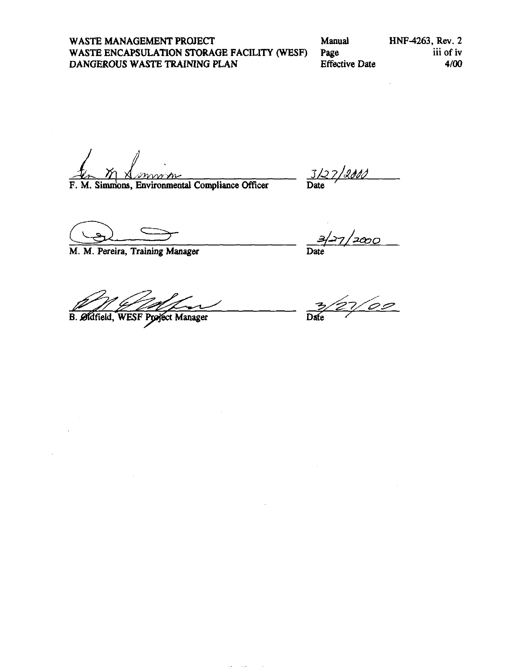**WASTE MANAGEMENT PROJECT** Manual **HNF-4263, Rev. 2**<br> **WASTE ENCAPSULATION STORAGE FACILITY (WESF)** Page iii of iv **WASTE ENCAPSULATION STORAGE FACILITY (WESF)** Page iii of iv DANGEROUS WASTE TRAINING PLAN Effective Date  $\frac{4}{00}$ DANGEROUS WASTE TRAINING PLAN

F. M. Simmons, Environmental Compliance Officer

*82 3/a 7/2d dd* 

**M. M. Pereira, Training Manager Date** 

**B.** Øldfield, WESF Project Manager

'2000

 $7/00$  $\overline{\text{Dme}}$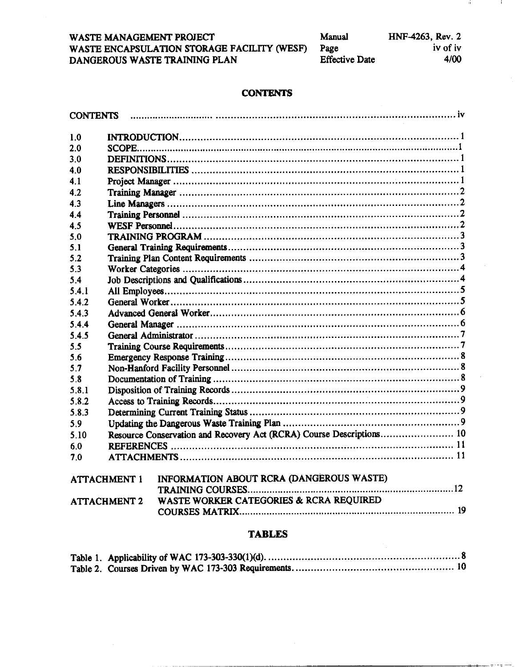| Manual                | HNF-4263, Rev. 2 |
|-----------------------|------------------|
| Page                  | iv of iv         |
| <b>Effective Date</b> | 4/00             |

Ŵ.

 $\mathbf{I}$ 

### **CONTENTS**

| <b>CONTENTS</b> |                     |                                                                      |
|-----------------|---------------------|----------------------------------------------------------------------|
| 1.0             |                     |                                                                      |
| 2.0             |                     |                                                                      |
| 3.0             |                     |                                                                      |
| 4.0             |                     |                                                                      |
| 4.1             |                     |                                                                      |
| 4.2             |                     |                                                                      |
| 4.3             |                     |                                                                      |
| 4.4             |                     |                                                                      |
| 4.5             |                     |                                                                      |
| 5.0             |                     |                                                                      |
| 5.1             |                     |                                                                      |
| 5.2             |                     |                                                                      |
| 5.3             |                     |                                                                      |
| 5.4             |                     |                                                                      |
| 5.4.1           |                     |                                                                      |
| 5.4.2           |                     |                                                                      |
| 5.4.3           |                     |                                                                      |
| 5.4.4           |                     |                                                                      |
| 5.4.5           |                     |                                                                      |
| 5.5             |                     |                                                                      |
| 5.6             |                     |                                                                      |
| 5.7             |                     |                                                                      |
| 5.8             |                     |                                                                      |
| 5.8.1           |                     |                                                                      |
| 5.8.2           |                     |                                                                      |
| 5.8.3           |                     |                                                                      |
| 5.9             |                     |                                                                      |
| 5.10            |                     | Resource Conservation and Recovery Act (RCRA) Course Descriptions 10 |
| 6.0             |                     |                                                                      |
| 7.0             |                     |                                                                      |
|                 | <b>ATTACHMENT 1</b> | INFORMATION ABOUT RCRA (DANGEROUS WASTE)                             |
|                 |                     |                                                                      |
|                 | <b>ATTACHMENT 2</b> | WASTE WORKER CATEGORIES & RCRA REQUIRED                              |
|                 |                     |                                                                      |

## **TABLES**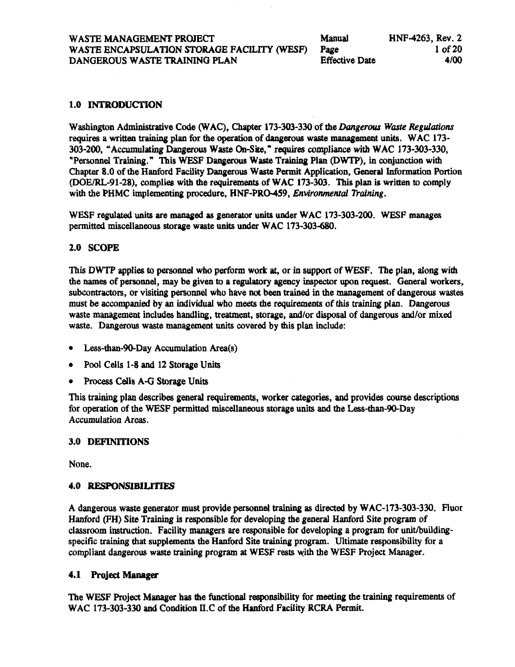#### **1.0** INTRODUCTION

Washington Administrative Code (WAC), Chapter 173-303-330 of the *Dangerous Waste Regulations* requires a Written training plan for the operation of **dangerous** waste management **units.** WAC 173- 303-200, "Accumulating Dangerous Waste On4ite." **requires** compliance with WAC 173-303-330, "Personnel Training." This WESF Dangerous Waste Training Plan (DWTP), in conjunction with Chapter 8.0 of the Hanford Facility Dangerous Waste Permit Application, General **Information** Portion @OE/RL-91-28). complies with the requirements of WAC 173-303. **This** plan is written to comply with the PHMC implementing procedure, HNF-PRO-459, *Environmental Training*.

WESF regulated **units** are managed **as** generator units under WAC 173-303-200. WESF manages permitted miscellaneous storage waste units under WAC 173-303-680.

#### **2.0** SCOPE

This DWTP applies to personnel who perform work at, or in support of WESF. The plan, along with the **names** of personnel, may be given to a regulatory agency inspector upon request. General workers, subcontractors, or visiting personnel who have not been trained in the management of dangerous wastes must be accompanied by an individual who meets the requirements of **this** training plan. Dangerous waste management includes handling, treatment, storage, and/or disposal of dangerous and/or mixed **waste.** Dangerous waste management units covered by this plan include:

- Less-than-90-Day Accumulation Area(s)
- Pool Cells 1-8 **and** 12 Storage Units
- Process Cells A-G Storage Units  $\bullet$

This training plan describes general requirements, worker **categories, and** provides **course** descriptions for operation of the **WESF** permitted miscellaneous storage units **and** the Less-than-90-Day Accumulation **Areas.** 

#### 3.0 DEFTNITIONS

None.

#### **4.0 RESPONSIBILITIES**

A dangerous waste generator must provide personnel **training a** *directed* by WAC-173-303-330. Fluor Hanford (FH) Site Training is responsible for developing the **general** Hanford Site program of classroom instruction. Facility managers are responsible for developing a program for unitbuildingspecific training that supplements the Hanford Site training program. Ultimate responsibility for a compliant dangerous waste training program **at** WESF **rests** with the WESF Project Manager.

#### **4.1 Project** *Manager*

The WESF Project Manager has the functional responsibility for meeting the training requirements of WAC 173-303-330 and Condition II.C of the Hanford Facility RCRA Permit.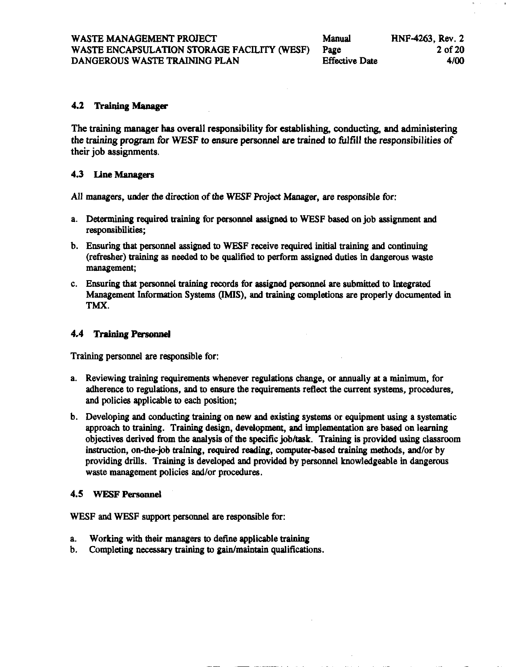#### **4.2 Training** *Manager*

The training manager **has** overall responsibility for establishing, conducting, **and** administering the training program for **WESF** to ensure personnel are trained to **filfill** the responsibilities *of*  their job assignments.

#### **4.3** Line Managers

All managers, under the direction of the **WESF** Project Manager, are responsible for:

- a. Determining required training for personnel assigned to WESF based on job assignment and responsibilities;
- b. Ensuring that personnel assigned to WESF receive required initial training and continuing (refresher) training **as** needed to be qualified to perform assigned duties in dangerous waste management;
- c. Ensuring that personnel training **record8** for assigned personnel are submitted **to Integrated**  Management Information Systems **(IMIS), and** training completions are properly documented in TMX.

#### **4.4 Training Personnel**

Training personnel are responsible for:

- **a.** Reviewing training requirements whenever regulations change, or annually at **a minimum,** for adherence to regulations, and to ensure the requirements reflect the current systems, procedures, and policies applicable to each position;
- b. Developing **and conducting** training on **new and** *ex-* **systems** or equipment *using* **a** systematic approach to training. Training design, development, **and** implementation are based on learning objectives derived from the analysis of the specific job/task. Training is provided using classroom instruction, on-the-job training, required reading, computer-based training methods, and/or by providing drills. Training is developed and provided by personnel knowledgeable in dangerous waste management policies and/or procedures.

#### **4.5 WESFPersonnel**

WESF **and** WESF **support** personnel are responsible for:

- **a.**  Working with their *managers* to define applicable training
- b. Completing **necessary** training to gain/maintain qualifications.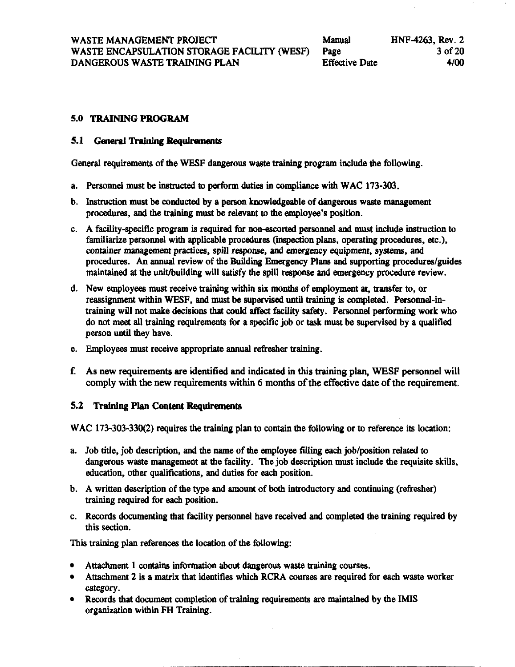#### **5.0 TRAININGPROGRAM**

#### **5.1 • General Training Requirements**

General requirements of the WESF dangerous waste training program include the following.

- a. Personnel must be instructed to perform **duties** in complimce with WAC **173-303.**
- b. Instruction must be conducted by a person knowledgeable of dangerous waste management procedures, **and** the training must be relevant to the employee's position.
- c. A facility-specific program is required for non-escorted personnel and must include instruction to familiarize personnel with applicable procedures (inspection plans, operating procedures, *etc.),*  container *management* practices, spill response, **and** emexgency equipment, **systems, and**  procedures. An annual review of the Building Emergency Plans and supporting procedures/guides maintained at the unithuilding will *satisfy* the spill response **and** emergency procedure review.
- d. New employees must receive training within **six months** of employment at, transfer **to,** or reassignment within WESF, and must be supervised until training is completed. Personnel-intraining will not make decisions that could affect facility safety. Personnel performing work who do **not** meet all training requirements for a specific **job** or **task** must be supervised by a qualified person until they have.
- e. Employees must receive appropriate annual refresher training.
- f. As **new** requirements are identified and indicated in this training plan, **WESF** personnel will comply with the new requirements within 6 months of the effective date of the requirement.

#### **5.2 Training Plan Content Requiments**

WAC **173-303-330(2)** requires the training plan to contain the following or to reference its location:

- a. Job title, job description, **and** the name of the employee *filling each* job/position related to dangerous waste management at the facility. The job description **must** include the requisite **skills,**  education, other qualifications, and duties for **each** position.
- b. A written description of the type **and amount** of both introductory **and** continuing (refresher) training required for *each* position.
- c. Records documenting that facility personnel have received and completed the training required by this **section.**

This training plan references the location of the following:

- Attachment **1 contains** information *about* dangerous waste training courses.
- Attachment 2 is a matrix that identifies which RCRA courses are required for each waste worker category.
- Records that document completion of training requirements are maintained by the **IMIS**  organization withiin **FH** Training.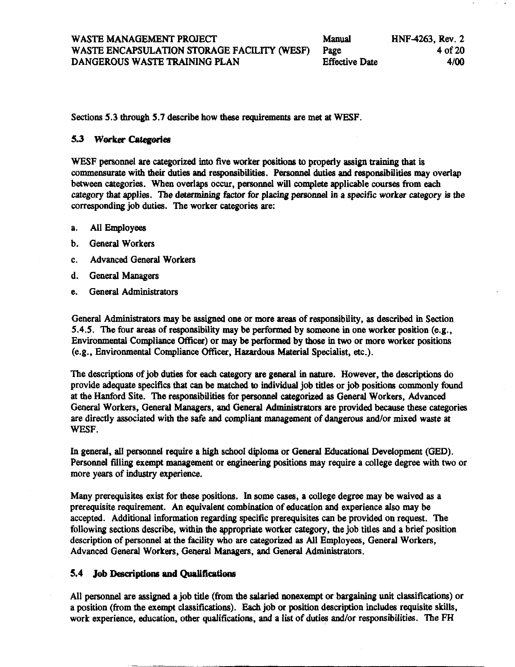**Sections 5.3 through 5.7** describe how these requirements are met at WESF.

#### 5.3 Worker Categories

WESF personnel are categorized into five worker positions to properly assign training that is commensurate with their duties **and** responsibilities. Personnel duties **and** responsibilities may overlap between categories. When overlaps occur, personnel will complete applicable courses from each category that applies. The determining factor for placing personnel in a specific worker category. category that applies. The determining factor for placing personnel in a specific worker category is the corresponding job duties. Ihe worker categories are:

- a. All Employees
- b. General Workers
- c. Advanced General Workers
- d. General Managers
- e. General Administrators

General Administrators may be assigned one or more areas of responsibility, **as** described in Section **5.4.5.** The four areas of responsibility may be performed by someone in one worker position (e.g., Environmental Compliance officer) or may **be performed** by those in **two** or more worker positions (e.g., Environmental Compliance *Officer,* Hazardous Material Specialist, *etc.).* 

The descriptions of job duties for each *category* are general in nature. However, the descriptions do provide adequate specifics that can be matched to individual job titles or job positions commonly found at the Hanford Site. The responsibilities for personnel categorized **as** General Workers, Advanced General Workers, General Managers, **and** General **Administrators** are provided because these categories are directly associated with the safe and compliant management of dangerous and/or mixed waste at WESF.

In general, all personnel require a **high school** diploma or General **Educational** Development (GED). Personnel filling exempt management or *engineexing* positions may require a college degree with two or more **years** of industry experience.

Many prerequisites exist for these positions. In some *cases,* a college degree may be waived **as** a prerequisite requirement. An equivalent **combination** of education **and** experience **also** may be accepted. Additional information regarding specific prerequisites *can* be provided **on** request. The following sections describe, within the appropriate worker category, the job titles and a brief position description of personnel *at* the facility who are categorized **as** All Employees, General Workers, Advanced General Workers, General **Managers, and** General Administrators.

#### **5.4 Job Descriptions and** Qualilientlons

All personnel are assigned a job title (from the salaried nonexempt or bargaining unit classifications) or a position (from the exempt classifications). **Each** job or position description includes requisite skills, work experience, education, other qualifications, **and** a list of duties and/or responsibilities. The FH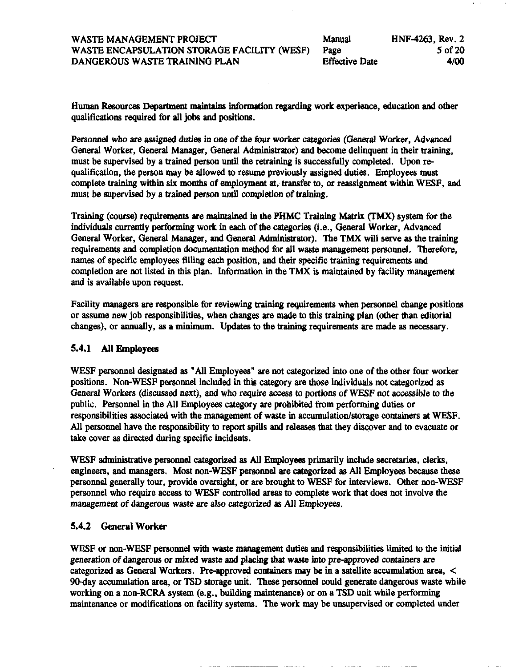| Manual                | HNF-4263, Rev. 2 |
|-----------------------|------------------|
| Page                  | 5 of 20          |
| <b>Effective Date</b> | 4/00             |

Human Resources Department maintains information regarding work experience, education and other qualifications required for all jobs and positions.

Personnel who are essigned duties in **one** of the *four* worker categories (General Worker, Advanced General Worker, General Manager, General Administrator) **and** become delinquent in their training, must be supervised by a trained person until the retraining is successfully completed. Upon re qualification, the person may be allowed to resume previously assigned duties. Employees must complete **training** within **six** months of employment at, transfer **to,** or reassignment withi WESF, **and**  must be supervised by a trained **person** until completion of training.

Training *(course)* requirements are maintained in the PHMC Training Matrix *(TMX)* system for the individuals currently petforming work in *each* of the categories (i.e., General Worker, Advanced General Worker, General Manager, **and** General Administrator). **'Ihe** TMX will serve **as** the training requirements **and** completion documentation method for all waste management personnel. 'Iherefore, names of specific employees **filling** each position, and their specific training requirements and completion are oot listed in this plan. Information in the TMX is maintained by facility management and is available upon request.

Facility managers are responsible for reviewing training requirements when personnel change positions or assume new job responsibilities, when changes are made to **this** training plan (other than editorial changes), or annually, as a minimum. Updates to the training requirements are made as necessary.

#### **5.4.1 All Employees**

WESF personnel designated **as** "All Employees" are not categorized into one of the other four worker positions. Non-WESF personnel included in this category are those individuals not categorized as General Workers (discussed next), and who require access to portions of WESF not accessible to the public. Personnel in the All Employees category are prohibited from performing duties or responsibilities associated with the management of waste in accumulation/storage containers at WESF. All personnel have the responsibility to report spills **and** releases that they discover **and** to evacuate or take cover **as** directed during specific incidents.

WESF administrative personnel categorized **as** All Employees primarily include secretaries, clerks, engineers, **and** managers. Most non-WESF personnel are categorized **as** All Employees because these personnel generally tour, provide oversight, or are brought to WESF for interviews. Other non-WESF personnel who require access to WESF controlled areas to complete work that does not involve the management of dangerous waste are also categorized **as** All Employees.

#### **5.4.2 General Worker**

WESF or non-WESF personnel with waste management duties **and** responsibilities limited to the initial generation of dangerous or mixed waste **and** placing *that* waste into pre-approved **wntainers** are categorized as General Workers. Pre-approved containers may be in a satellite accumulation area, < 90-day accumulation area, or TSD storage unit. These personnel could generate dangerous waste while working on a non-RCRA system (e.g., building maintenance) or **on** a **TSD** unit while performing maintenance or modifications on facility systems. The work may be unsupervised or completed under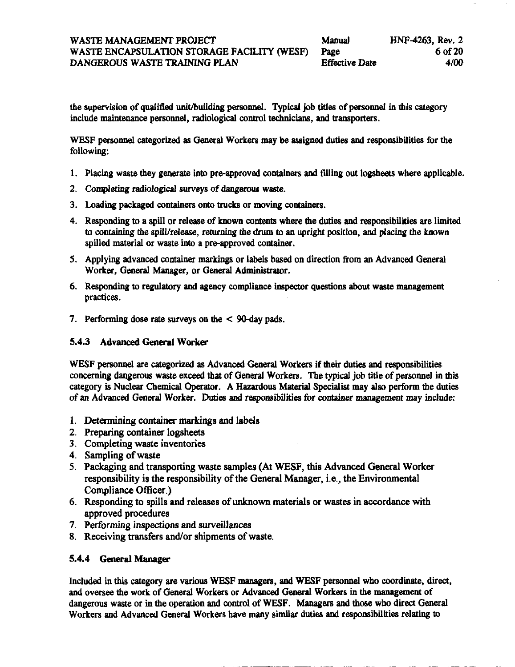the supervision of qualified unit/building personnel. Typical job titles of personnel in this category include maintenance personnel, radiological control technicians, and transporters.

WESF personnel categorized as General Workers may be assigned duties and responsibilities for the following:

- **1.** Placing waste they generate into pre-approved containers **ad** filling out **logsheets** where applicable.
- 2. Completing *radiological* surveys of *dangerous* waste.
- 3. Loading packaged containers **onto** trucks or moving containers.
- **4.** Responding to a spill or release of **known contents** where the duties **and** responsibilities are limited to containing the spill/release, returning the drum to an upright position, and placing the known spilled material or waste into a pre-approved container.
- *5.* Applying advanced container **markings** or labels **based** on direction **from** an Advanced General Worker, General Manager, or General Administrator.
- 6. **Responding** to regulatory **and** agency compliance **inspector** questions about waste management practices.
- 7. Performing dose rate surveys on the  $\leq$  90-day pads.

#### **5.4.3 Advanced General Worker**

WESF personnel are categorized **as** Advanced General Workers if their duties **and** responsibilities concerning **dangerous** waste exceed that of General Workers. The typical job title of personnel in this category is Nuclear Chemical Operator. A Hazardous Material Specialist may also perform the duties of an Advanced General Worker. Duties **and** responsibilities for container management may include:

- 1. Determining container markings and labels
- **2.** Preparing container logsheets
- 3. Completing waste inventories
- **4.** Sampling of waste
- *5.* Packaging and transporting waste samples (At **WESF, this** Advanced General Worker responsibility is the responsibility of the General Manager, *i.e.*, the Environmental Compliance Officer.)
- 6. Responding to spills and releases of **unknown** materials or wastes in accordance with approved procedures
- **7.** Performing inspections and surveillances
- 8. Receiving transfers and/or shipments of waste.

#### **5.4.4** General **Manager**

Included in **this** category are various WESF managers, **and** WESF personnel who coordinate, direct, **and** oversee the work of General Workers or Advanced General Workers in the management of dangerous waste or in the operation **and control** of **WESF.** Managers **and** those who direct General Workers **and** Advanced General Workers have many similar duties **and** responsibilities relating to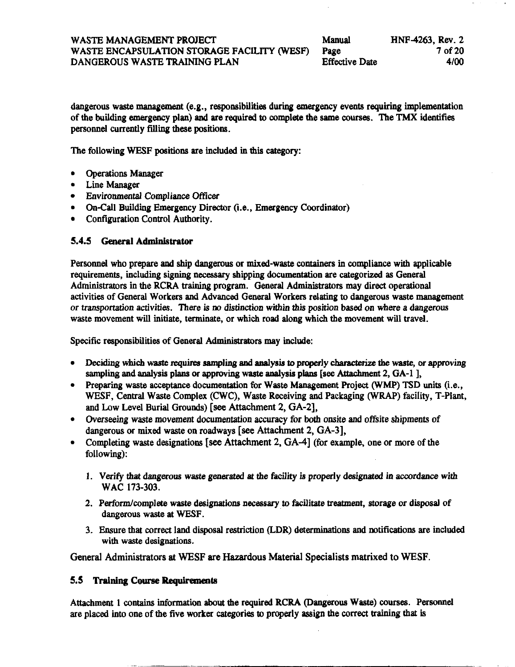| Manual                | HNF-4263, Rev. 2 |
|-----------------------|------------------|
| Page                  | 7 of 20          |
| <b>Effective Date</b> | 4/00             |

dangerous waste management (e.g., responsibilities during emergency events requiring implementation of the building emergency plan) and are required to complete the same courses. The TMX identifies personnel currently *filling* these positions.

The following WESF positions are included in this category:

- Operations Manager
- Line Manager
- Environmental Compliance officer
- On-Call Building Emergency Director (i.e., Emergency Coordinator)
- Configuration Control Authority.

#### **5.4.5 General Administrator**

Personnel who prepare and ship dangerous or mixed-waste containers in compliance with applicable requirements, including **signing** necessary shipping documentation are **categorized as** General Administrators in the RCRA training program. General Administrators may **direct** operational activities of General Workers **and** Advanced General Workers relating to dangerous waste management or transportation activities. There is m distinction within *this* position based on where a dangerous waste movement will initiate, terminate, or which road along which the movement will travel.

Specific responsibilities **of** General Administrators may include:

- **•** Deciding which waste requires sampling and analysis to properly characterize the waste, or approving *sampling* **and** analysis plans Or approving warte analysis **plans [see** Attachment 2, GA-1 **1,**
- **Preparing** waste **acceptance** documentation for Waste Management **Project** *(WMP)* TSD **units** (i.e., **WESF,** Central Waste Complex (CWC), Waste Receiving and Packaging (WRAP) facility, T-Plant, and Low Level Burial Grounds) **[see** Attachment **2,** GA-21,
- Overseeing waste movement documentation accuracy for **both** onsite and offsite shipments of dangerous or mixed waste on roadways [see Attachment 2, GA-31,
- Completing waste designations *[see* Attachment 2, GA-41 (for example, one or more **of** the following):
	- *1.* Verify that dangerous waste generated *at* the *facility* **is** properly designated *in* accordance with WAC **173-303.**
	- 2. Perform/complete waste designations necessary to facilitate treatment, storage or disposal of dangerous waste at WESF.
	- **3.** Ensure *that* **correct** land disposal restriction (LDR) determinations and notifications are included with waste designations.

General Administrators *at* **WESF are Hazardous** Material Specialists matrixed to **WESF.** 

#### **5.5 Training Course Requirements**

Attachment 1 contains information about the required RCRA (Dangerous Waste) courses. Personnel are placed into one of the five worker categories to properly **assign** the **correct** training that is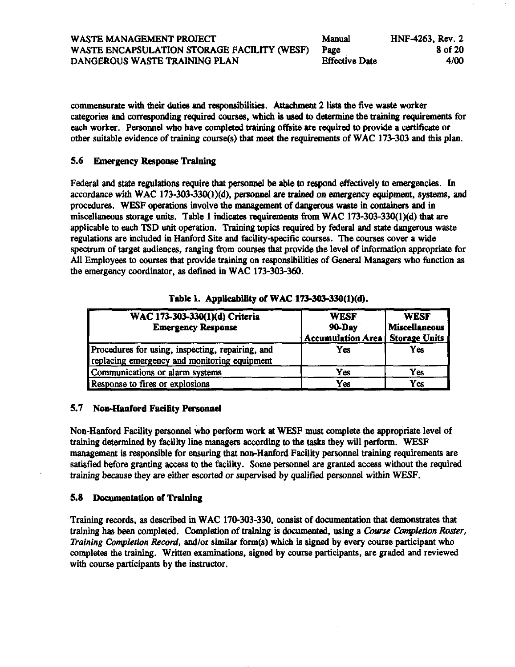WASTE MANAGEMENT PROJECT Manual HNF-4263, Rev. 2 WASTE ENCAPSULATION STORAGE FACILITY **(WESF)** Page **8** of **20**  DANGEROUS WASTE TRAINING PLAN

commensurate with their duties and responsibilities. Attachment 2 lists the five waste worker categories **and corresponding** required **causes,** which is used to determine the training requirements for each worker. Personnel who have completed training offiite **are** required to provide **a** certificate or other suitable evidence of training course(s) that meet the requirements of WAC 173-303 and this plan.

#### **5.6** Emergency **Response Training**

Federal **and** *state* **regulations** require **that** personnel **be** able to **respond** effectively to emergencies. In accordance with WAC 173-303-330(1)(d), personnel are trained on emergency equipment, systems, and procedures. **WESF** operations involve the management of *dangerous* waste in **containen and** in **miscellaneous** storage **units.** Table **1** indicatea requirema **from** WAC 173-303-330(1)(d) that are applicable to *each* TSD unit operation. Training topics required by federal **and state** dangerous waste regulations are included in Hanford **Site and** facility-specific **courses.** The courses cover **a** wide spectrum of target audiences, **ranging** from courses that provide the level of information appropriate for All Employees to **courses** that provide training **on** responsibilities of General Managers who function **as**  the emergency coordinator, **as** detined in WAC 173-303-360.

| WAC 173-303-330(1)(d) Criteria<br><b>Emergency Response</b>                                      | <b>WESF</b><br>90-Day<br><b>Accumulation Area</b> | <b>WESF</b><br><b>Miscellaneous</b><br>Storage Units |
|--------------------------------------------------------------------------------------------------|---------------------------------------------------|------------------------------------------------------|
| Procedures for using, inspecting, repairing, and<br>replacing emergency and monitoring equipment | Yes                                               | Yes                                                  |
| Communications or alarm systems                                                                  | Yes                                               | Yes                                                  |
| Response to fires or explosions                                                                  | Yes                                               | Yes                                                  |

#### Table 1. Applicability of WAC 173-303-330(1)(d).

#### 5.7 Non-Hanford Facility Personnel

Non-Hanford Facility personnel who perform work at WESF must complete the appropriate level of training determined by facility line managers according to the tasks they will perform. WESF management is responsible for ensuring that non-Hanford Facility personnel training requirements are satisfied before granting access to the facility. Some personnel are granted access without the required training because they are either escorted or supervised by qualified personnel within WESF.

#### 5.8 Documentation of Training

Training records, as described in WAC 170-303-330, consist of documentation that demonstrates that training has been completed. Completion of training is documented, using a Course Completion Roster, Training Completion Record, and/or similar form(s) which is signed by every course participant who completes the training. Written examinations, signed by course participants, are graded and reviewed with course participants by the instructor.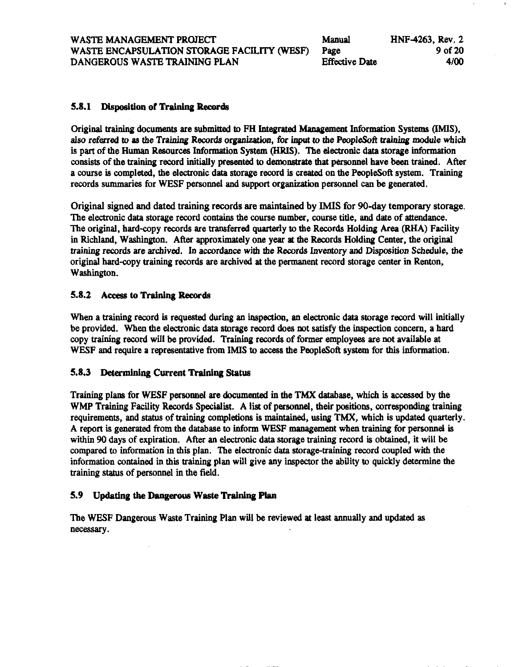| Manual                | HNF-4263, Rev. 2 |
|-----------------------|------------------|
| Page                  | 9 of 20          |
| <b>Effective Date</b> | 4/00             |

#### **5.8.1 Disposition of** *Training* **Records**

Original training documems are submitted to FH **Integrated** *Management* Information **Systems (IMIS), also** referred to *88* the Training Recorda organization , for **input** to the PeopleSoft *training* module which is part of the Human Resources Information **System (HRIS).** The electronic data storage information consists of the training record initially presented to demonstrate that personnel have been trained. After a course is completed, the electronic data storage record is created on the PeopleSoft system. Training records summaries for WESF personnel **and support** organization personnel *can* be generated.

Original signed and dated training records are **maintained** by **IMIS** for 90-day temporary storage. The electronic data storage record **contains** the course number, course title, **and** date of attendance. The original, hard-copy records are transferred quarterly to the Records Holding Area (RHA) Facility in Richland, Washington. After approximately one year at the Records Holding Center, the original training records are archived. In accordance with the Records Inventory **and** Disposition Schedule, the original hard-copy training records are archived *at* the permanent record storage center in Renton, Washington.

#### **5.8.2 Aceess to Training Records**

**When** a training record is requested during an inspection, an electronic data storage record will initially be provided. **When** the electronic **data** storage record **does** not *satisfy* the **inspeaion** concern, a hard copy training record will be provided. Training records of former employeax are not available at WESF **and** require **a** representative **from IMIS** to **access** the PeopleSoft system for **this** information.

#### **5.8.3 Determining Current Training Status**

Training **plane** for WESF personnel are **documented** in the **TMX** database, **which** is accessed by the WMP Training Facility Records Specialist. A list of personnel, their positions, **corresponding** training requirements, **and status** of training completions is maintained, using TMX, which is updated quarterly. A report is generated from the database to inform WESF management when training for personnel is within 90 days of expiration. After an electronic data storage training record is obtained, it will be compared to information in this plan. The electronic data storage-training record coupled with the information contained in this training plan will give any inspector the abiiity to quickly determine the training **status** of personnel in **the** field.

#### *5.9*  **Updating the Dangerous Waste Training Plan**

The WESF Dangerous **Waste** Training Plan will be reviewed *at* least annually **and** updated **as**  necessary.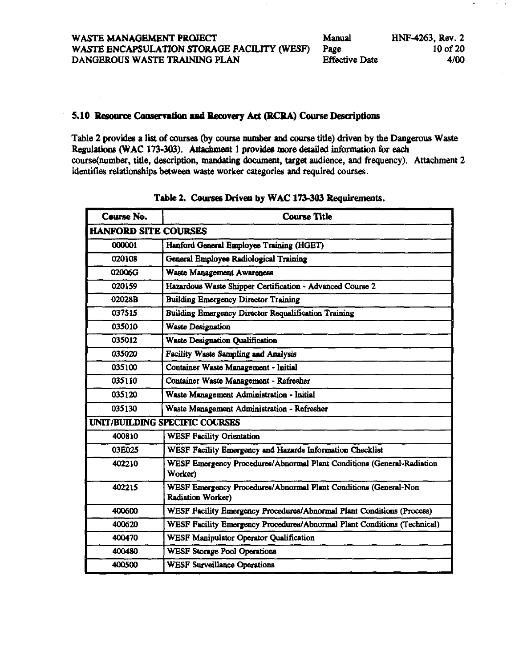#### <span id="page-17-0"></span>5.10 Resource Conservation and Recovery Act (RCRA) Course Descriptions

Table 2 provides a list of courses (by course number and course title) driven by the Dangerous Waste Regulations (WAC 173-303). Attachment 1 provides more detailed information for each course(number, title, description, mandating document, target audience, and frequency). Attachment 2 identifies relationships between waste worker categories and required courses.

| Course No.                  | <b>Course Title</b>                                                                          |  |  |
|-----------------------------|----------------------------------------------------------------------------------------------|--|--|
| <b>HANFORD SITE COURSES</b> |                                                                                              |  |  |
| 000001                      | Hanford General Employee Training (HGET)                                                     |  |  |
| 020108                      | General Employee Radiological Training                                                       |  |  |
| 02006G                      | Waste Management Awareness                                                                   |  |  |
| 020159                      | Hazardous Waste Shipper Certification - Advanced Course 2                                    |  |  |
| 02028B                      | <b>Building Emergency Director Training</b>                                                  |  |  |
| 037515                      | <b>Building Emergency Director Requalification Training</b>                                  |  |  |
| 035010                      | <b>Waste Designation</b>                                                                     |  |  |
| 035012                      | <b>Waste Designation Qualification</b>                                                       |  |  |
| 035020                      | Facility Waste Sampling and Analysis                                                         |  |  |
| 035100                      | Container Waste Management - Initial                                                         |  |  |
| 035110                      | Container Waste Management - Refresher                                                       |  |  |
| 035120                      | Waste Management Administration - Initial                                                    |  |  |
| 035130                      | Waste Management Administration - Refresher                                                  |  |  |
|                             | UNIT/BUILDING SPECIFIC COURSES                                                               |  |  |
| 400810                      | <b>WESF Facility Orientation</b>                                                             |  |  |
| 03E025                      | WESF Facility Emergency and Hazards Information Checklist                                    |  |  |
| 402210                      | WESF Emergency Procedures/Abnormal Plant Conditions (General-Radiation<br>Worker)            |  |  |
| 402215                      | WESF Emergency Procedures/Abnormal Plant Conditions (General-Non<br><b>Radiation Worker)</b> |  |  |
| 400600                      | WESF Facility Emergency Procedures/Abnormal Plant Conditions (Process)                       |  |  |
| 400620                      | WESF Facility Emergency Procedures/Abnormal Plant Conditions (Technical)                     |  |  |
| 400470                      | <b>WESF Manipulator Operator Qualification</b>                                               |  |  |
| 400480                      | <b>WESF Storage Pool Operations</b>                                                          |  |  |
| 400500                      | <b>WESF Surveillance Operations</b>                                                          |  |  |

Table 2. Courses Driven by WAC 173-303 Requirements.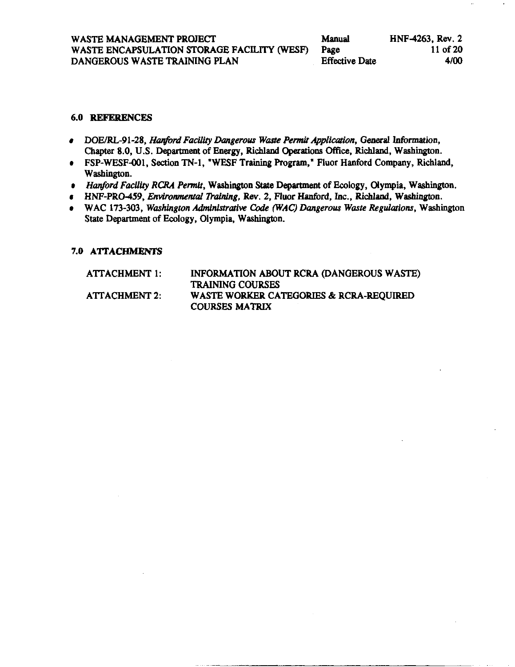#### **6.0 REFERENCES**

- · DOE/RL-91-28, Hanford Facility Dangerous Waste Permit Application, General Information, Chapter 8.0, U.S. Department of Energy, Richland Operations Office, Richland, Washington.
- FSP-WESF-001, Section TN-1, "WESF Training Program," Fluor Hanford Company, Richland, Washington.
- Hanford Facility RCRA Permit, Washington State Department of Ecology, Olympia, Washington.
- HNF-PRO-459, Environmental Training, Rev. 2, Fluor Hanford, Inc., Richland, Washington.
- WAC 173-303, Washington Administrative Code (WAC) Dangerous Waste Regulations, Washington State Department of Ecology, Olympia, Washington.

#### 7.0 ATTACHMENTS

| ATTACHMENT 1:        | INFORMATION ABOUT RCRA (DANGEROUS WASTE) |
|----------------------|------------------------------------------|
|                      | <b>TRAINING COURSES</b>                  |
| <b>ATTACHMENT 2:</b> | WASTE WORKER CATEGORIES & RCRA-REQUIRED  |
|                      | <b>COURSES MATRIX</b>                    |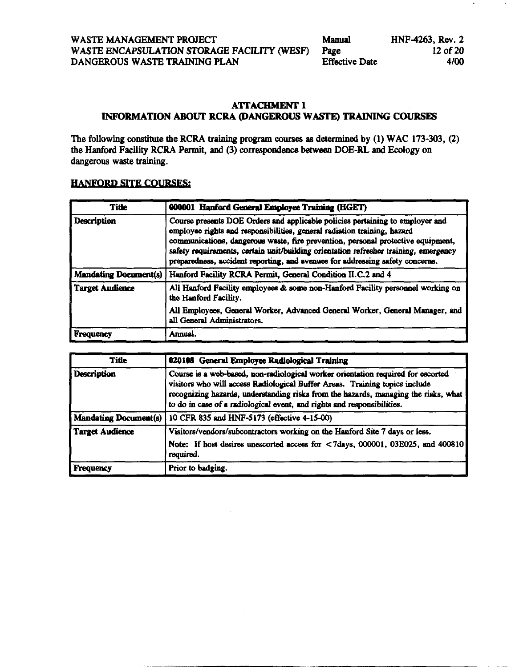#### <span id="page-19-0"></span>**ATTACHMENT 1** INFORMATION ABOUT RCRA (DANGEROUS WASTE) TRAINING COURSES

The following constitute the RCRA training program courses as determined by (1) WAC 173-303, (2) the Hanford Facility RCRA Permit, and (3) correspondence between DOE-RL and Ecology on dangerous waste training.

#### **HANFORD SITE COURSES:**

| <b>Title</b>                 | 000001 Hanford General Employee Training (HGET)                                                                                                                                                                                                                                                                                                                                                                        |
|------------------------------|------------------------------------------------------------------------------------------------------------------------------------------------------------------------------------------------------------------------------------------------------------------------------------------------------------------------------------------------------------------------------------------------------------------------|
| Description                  | Course presents DOE Orders and applicable policies pertaining to employer and<br>employee rights and responsibilities, general radiation training, hazard<br>communications, dangerous waste, fire prevention, personal protective equipment,<br>safety requirements, certain unit/building orientation refresher training, emergency<br>preparedness, accident reporting, and avenues for addressing safety concerns. |
| <b>Mandating Document(s)</b> | Hanford Facility RCRA Permit, General Condition II.C.2 and 4                                                                                                                                                                                                                                                                                                                                                           |
| <b>Target Audience</b>       | All Hanford Facility employees & some non-Hanford Facility personnel working on<br>the Hanford Facility.                                                                                                                                                                                                                                                                                                               |
|                              | All Employees, General Worker, Advanced General Worker, General Manager, and<br>all General Administrators.                                                                                                                                                                                                                                                                                                            |
| Frequency                    | Annual.                                                                                                                                                                                                                                                                                                                                                                                                                |

| <b>Title</b>                 | 020108 General Employee Radiological Training                                                                                                                                                                                                                                                                                     |
|------------------------------|-----------------------------------------------------------------------------------------------------------------------------------------------------------------------------------------------------------------------------------------------------------------------------------------------------------------------------------|
| <b>Description</b>           | Course is a web-based, non-radiological worker orientation required for escorted<br>visitors who will access Radiological Buffer Areas. Training topics include<br>recognizing hazards, understanding risks from the hazards, managing the risks, what<br>to do in case of a radiological event, and rights and responsibilities. |
| <b>Mandating Document(s)</b> | 10 CFR 835 and HNF-5173 (effective 4-15-00)                                                                                                                                                                                                                                                                                       |
| Target Audience              | Visitors/vendors/subcontractors working on the Hanford Site 7 days or less.                                                                                                                                                                                                                                                       |
|                              | Note: If host desires unescorted access for <7days, 000001, 03E025, and 400810<br>required.                                                                                                                                                                                                                                       |
| Frequency                    | Prior to badging.                                                                                                                                                                                                                                                                                                                 |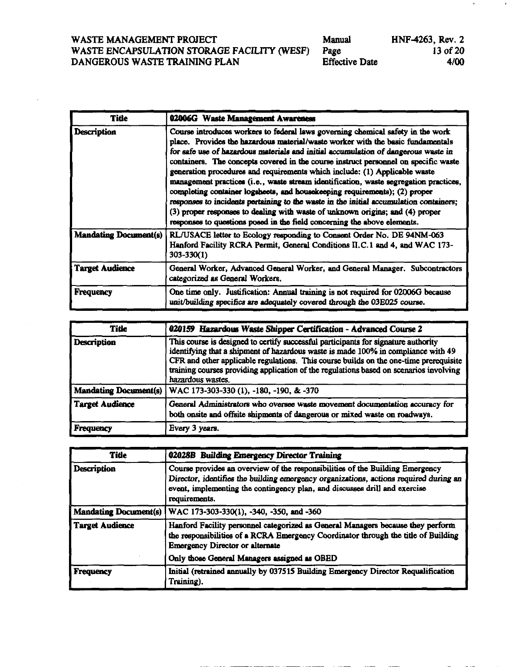| Manual                | HNF-4263, Rev. 2 |
|-----------------------|------------------|
| Page                  | 13 of 20         |
| <b>Effective Date</b> | 4/00             |

| Title                        | 02006G Waste Management Awareness                                                                                                                                                                                                                                                                                                                                                                                                                                                                                                                                                                                                                                                                                                                                                                                                                           |  |
|------------------------------|-------------------------------------------------------------------------------------------------------------------------------------------------------------------------------------------------------------------------------------------------------------------------------------------------------------------------------------------------------------------------------------------------------------------------------------------------------------------------------------------------------------------------------------------------------------------------------------------------------------------------------------------------------------------------------------------------------------------------------------------------------------------------------------------------------------------------------------------------------------|--|
| <b>Description</b>           | Course introduces workers to federal laws governing chemical safety in the work<br>place. Provides the hazardous material/waste worker with the basic fundamentals<br>for safe use of hazardous materials and initial accumulation of dangerous waste in<br>containers. The concepts covered in the course instruct personnel on specific waste<br>generation procedures and requirements which include: (1) Applicable waste<br>management practices (i.e., waste stream identification, waste segregation practices,<br>completing container logsheets, and housekeeping requirements); (2) proper<br>responses to incidents pertaining to the waste in the initial accumulation containers;<br>(3) proper responses to dealing with waste of unknown origins; and (4) proper<br>responses to questions posed in the field concerning the above elements. |  |
| <b>Mandating Document(s)</b> | RL/USACE letter to Ecology responding to Consent Order No. DE 94NM-063<br>Hanford Facility RCRA Permit, General Conditions II.C.1 and 4, and WAC 173-<br>303-330(1)                                                                                                                                                                                                                                                                                                                                                                                                                                                                                                                                                                                                                                                                                         |  |
| <b>Target Audience</b>       | General Worker, Advanced General Worker, and General Manager. Subcontractors<br>categorized as General Workers.                                                                                                                                                                                                                                                                                                                                                                                                                                                                                                                                                                                                                                                                                                                                             |  |
| <b>Frequency</b>             | One time only. Justification: Annual training is not required for 02006G because<br>unit/building specifics are adequately covered through the 03E025 course.                                                                                                                                                                                                                                                                                                                                                                                                                                                                                                                                                                                                                                                                                               |  |

| <b>Title</b>                 | 020159 Hazardous Waste Shipper Certification - Advanced Course 2                                                                                                                                                                                                                                                                                                                |
|------------------------------|---------------------------------------------------------------------------------------------------------------------------------------------------------------------------------------------------------------------------------------------------------------------------------------------------------------------------------------------------------------------------------|
| <b>Description</b>           | This course is designed to certify successful participants for signature authority<br>identifying that a shipment of hazardous waste is made 100% in compliance with 49<br>CFR and other applicable regulations. This course builds on the one-time prerequisite<br>training courses providing application of the regulations based on scenarios involving<br>hazardous wastes. |
| <b>Mandating Document(s)</b> | WAC 173-303-330 (1), -180, -190, & -370                                                                                                                                                                                                                                                                                                                                         |
| Target Audience              | General Administrators who oversee waste movement documentation accuracy for<br>both onsite and offsite shipments of dangerous or mixed waste on roadways.                                                                                                                                                                                                                      |
| Frequency                    | Every 3 years.                                                                                                                                                                                                                                                                                                                                                                  |

| <b>Title</b>                 | 02028B Building Emergency Director Training                                                                                                                                                                                                                           |  |
|------------------------------|-----------------------------------------------------------------------------------------------------------------------------------------------------------------------------------------------------------------------------------------------------------------------|--|
| <b>Description</b>           | Course provides an overview of the responsibilities of the Building Emergency<br>Director, identifies the building emergency organizations, actions required during an<br>event, implementing the contingency plan, and discusses drill and exercise<br>requirements. |  |
| <b>Mandating Document(s)</b> | WAC 173-303-330(1), -340, -350, and -360                                                                                                                                                                                                                              |  |
| <b>Target Audience</b>       | Hanford Facility personnel categorized as General Managers because they perform<br>the responsibilities of a RCRA Emergency Coordinator through the title of Building<br><b>Emergency Director or alternate</b>                                                       |  |
|                              | Only those General Managers assigned as OBED                                                                                                                                                                                                                          |  |
| <b>Frequency</b>             | Initial (retrained annually by 037515 Building Emergency Director Requalification<br>Training).                                                                                                                                                                       |  |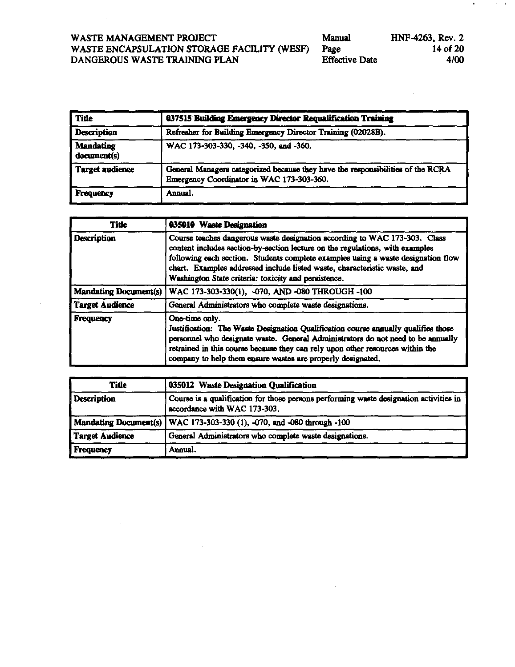| Manual                | HNF-4263, Rev. 2 |
|-----------------------|------------------|
| Page                  | 14 of 20         |
| <b>Effective Date</b> | 4/00             |

| <b>Title</b>                                                                                                                                           | 037515 Building Emergency Director Requalification Training  |
|--------------------------------------------------------------------------------------------------------------------------------------------------------|--------------------------------------------------------------|
| <b>Description</b>                                                                                                                                     | Refresher for Building Emergency Director Training (02028B). |
| <b>Mandating</b><br>document(s)                                                                                                                        | WAC 173-303-330, -340, -350, and -360.                       |
| <b>Target audience</b><br>General Managers categorized because they have the responsibilities of the RCRA<br>Emergency Coordinator in WAC 173-303-360. |                                                              |
| <b>Frequency</b>                                                                                                                                       | Annual.                                                      |

| <b>Title</b>                 | 035010 Waste Designation                                                                                                                                                                                                                                                                                                                                                              |  |
|------------------------------|---------------------------------------------------------------------------------------------------------------------------------------------------------------------------------------------------------------------------------------------------------------------------------------------------------------------------------------------------------------------------------------|--|
| <b>Description</b>           | Course teaches dangerous waste designation according to WAC 173-303. Class<br>content includes section-by-section lecture on the regulations, with examples<br>following each section. Students complete examples using a waste designation flow<br>chart. Examples addressed include listed waste, characteristic waste, and<br>Washington State criteria: toxicity and persistence. |  |
| <b>Mandating Document(s)</b> | WAC 173-303-330(1), -070, AND -080 THROUGH -100                                                                                                                                                                                                                                                                                                                                       |  |
| Target Audience              | General Administrators who complete waste designations.                                                                                                                                                                                                                                                                                                                               |  |
| <b>Frequency</b>             | One-time only.<br>Justification: The Waste Designation Qualification course annually qualifies those<br>personnel who designate waste. General Administrators do not need to be annually<br>retrained in this course because they can rely upon other resources within the<br>company to help them ensure wastes are properly designated.                                             |  |

| <b>Title</b>       | 035012 Waste Designation Qualification                                                                                 |  |
|--------------------|------------------------------------------------------------------------------------------------------------------------|--|
| <b>Description</b> | Course is a qualification for those persons performing waste designation activities in<br>accordance with WAC 173-303. |  |
|                    | Mandating Document(s) WAC 173-303-330 (1), -070, and -080 through -100                                                 |  |
| Target Audience    | General Administrators who complete waste designations.                                                                |  |
| <b>Frequency</b>   | Annual.                                                                                                                |  |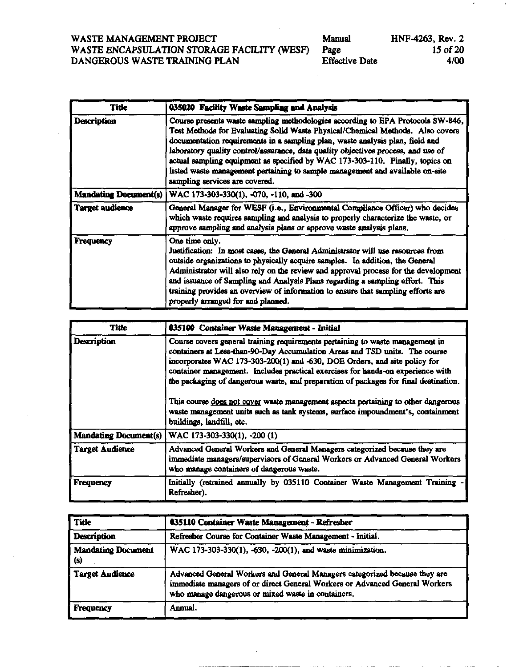| WASTE MANAGEMENT PROJECT                         | Manual             |
|--------------------------------------------------|--------------------|
| WASTE ENCAPSULATION STORAGE FACILITY (WESF) Page |                    |
| DANGEROUS WASTE TRAINING PLAN                    | <b>Effective</b> I |

| Manual         | HNF-4263, Rev. 2 |
|----------------|------------------|
| age            | 15 of 20         |
| Effective Date | 4/00             |

 $\sigma=\gamma$ 

 $\epsilon$ 

| <b>Title</b>                 | 035020 Facility Waste Sampling and Analysis                                                                                                                                                                                                                                                                                                                                                                                                                                                                                                 |
|------------------------------|---------------------------------------------------------------------------------------------------------------------------------------------------------------------------------------------------------------------------------------------------------------------------------------------------------------------------------------------------------------------------------------------------------------------------------------------------------------------------------------------------------------------------------------------|
| <b>Description</b>           | Course presents waste sampling methodologies according to EPA Protocols SW-846,<br>Test Methods for Evaluating Solid Waste Physical/Chemical Methods. Also covers<br>documentation requirements in a sampling plan, waste analysis plan, field and<br>laboratory quality control/assurance, data quality objectives process, and use of<br>actual sampling equipment as specified by WAC 173-303-110. Finally, topics on<br>listed waste management pertaining to sample management and available on-site<br>sampling services are covered. |
| <b>Mandating Document(s)</b> | WAC 173-303-330(1), -070, -110, and -300                                                                                                                                                                                                                                                                                                                                                                                                                                                                                                    |
| <b>Target audience</b>       | General Manager for WESF (i.e., Environmental Compliance Officer) who decides<br>which waste requires sampling and analysis to properly characterize the waste, or<br>approve sampling and analysis plans or approve waste analysis plans.                                                                                                                                                                                                                                                                                                  |
| <b>Frequency</b>             | One time only.<br>Justification: In most cases, the General Administrator will use resources from<br>outside organizations to physically acquire samples. In addition, the General<br>Administrator will also rely on the review and approval process for the development<br>and issuance of Sampling and Analysis Plans regarding a sampling effort. This<br>training provides an overview of information to ensure that sampling efforts are<br>properly arranged for and planned.                                                        |

| <b>Title</b>                 | 035100 Container Waste Management - Initial                                                                                                                                                                                                                                                                                                                                                                                                                                                                                                                                                  |
|------------------------------|----------------------------------------------------------------------------------------------------------------------------------------------------------------------------------------------------------------------------------------------------------------------------------------------------------------------------------------------------------------------------------------------------------------------------------------------------------------------------------------------------------------------------------------------------------------------------------------------|
| Description                  | Course covers general training requirements pertaining to waste management in<br>containers at Less-than-90-Day Accumulation Areas and TSD units. The course<br>incorporates WAC 173-303-200(1) and -630, DOE Orders, and site policy for<br>container management. Includes practical exercises for hands-on experience with<br>the packaging of dangerous waste, and preparation of packages for final destination.<br>This course does not cover waste management aspects pertaining to other dangerous<br>waste management units such as tank systems, surface impoundment's, containment |
|                              | buildings, landfill, etc.                                                                                                                                                                                                                                                                                                                                                                                                                                                                                                                                                                    |
| <b>Mandating Document(s)</b> | WAC 173-303-330(1), -200 (1)                                                                                                                                                                                                                                                                                                                                                                                                                                                                                                                                                                 |
| <b>Target Audience</b>       | Advanced General Workers and General Managers categorized because they are<br>immediate managers/supervisors of General Workers or Advanced General Workers<br>who manage containers of dangerous waste.                                                                                                                                                                                                                                                                                                                                                                                     |
| <b>Frequency</b>             | Initially (retrained annually by 035110 Container Waste Management Training -<br>Refresher).                                                                                                                                                                                                                                                                                                                                                                                                                                                                                                 |

| Title                            | 035110 Container Waste Management - Refresher                                                                                                                                                                   |
|----------------------------------|-----------------------------------------------------------------------------------------------------------------------------------------------------------------------------------------------------------------|
| <b>Description</b>               | Refresher Course for Container Waste Management - Initial.                                                                                                                                                      |
| <b>Mandating Document</b><br>(s) | WAC 173-303-330(1), -630, -200(1), and waste minimization.                                                                                                                                                      |
| Target Audience                  | Advanced General Workers and General Managers categorized because they are<br>immediate managers of or direct General Workers or Advanced General Workers<br>who manage dangerous or mixed waste in containers. |
| <b>Frequency</b>                 | Annual.                                                                                                                                                                                                         |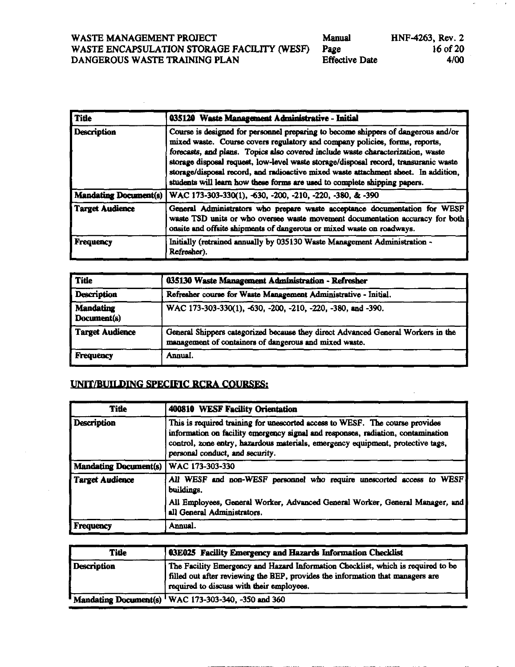| Manual                | HNF-4263, Rev. 2 |
|-----------------------|------------------|
| Page                  | 16 of 20         |
| <b>Effective Date</b> | 4/00             |

| <b>Title</b>                 | 035120 Waste Management Administrative - Initial                                                                                                                                                                                                                                                                                                                                                                                                                                                                |
|------------------------------|-----------------------------------------------------------------------------------------------------------------------------------------------------------------------------------------------------------------------------------------------------------------------------------------------------------------------------------------------------------------------------------------------------------------------------------------------------------------------------------------------------------------|
| <b>Description</b>           | Course is designed for personnel preparing to become shippers of dangerous and/or<br>mixed waste. Course covers regulatory and company policies, forms, reports,<br>forecasts, and plans. Topics also covered include waste characterization, waste<br>storage disposal request, low-level waste storage/disposal record, transuranic waste<br>storage/disposal record, and radioactive mixed waste attachment sheet. In addition,<br>students will learn how these forms are used to complete shipping papers. |
| <b>Mandating Document(s)</b> | WAC 173-303-330(1), -630, -200, -210, -220, -380, & -390                                                                                                                                                                                                                                                                                                                                                                                                                                                        |
| <b>Target Audience</b>       | General Administrators who prepare waste acceptance documentation for WESF<br>waste TSD units or who oversee waste movement documentation accuracy for both<br>onsite and offsite shipments of dangerous or mixed waste on roadways.                                                                                                                                                                                                                                                                            |
| <b>Frequency</b>             | Initially (retrained annually by 035130 Waste Management Administration -<br>Refresher).                                                                                                                                                                                                                                                                                                                                                                                                                        |

| Title                           | 035130 Waste Management Administration - Refresher                                                                                         |
|---------------------------------|--------------------------------------------------------------------------------------------------------------------------------------------|
| <b>Description</b>              | Refresher course for Waste Management Administrative - Initial.                                                                            |
| <b>Mandating</b><br>Document(s) | WAC 173-303-330(1), -630, -200, -210, -220, -380, and -390.                                                                                |
| Target Audience                 | General Shippers categorized because they direct Advanced General Workers in the<br>management of containers of dangerous and mixed waste. |
| Frequency                       | Annual.                                                                                                                                    |

#### UNIT/BUILDING SPECIFIC RCRA COURSES:

| <b>Title</b>                 | 400810 WESF Facility Orientation                                                                                                                                                                                                                                                       |  |
|------------------------------|----------------------------------------------------------------------------------------------------------------------------------------------------------------------------------------------------------------------------------------------------------------------------------------|--|
| <b>Description</b>           | This is required training for unescorted access to WESF. The course provides<br>information on facility emergency signal and responses, radiation, contamination<br>control, zone entry, hazardous materials, emergency equipment, protective tags,<br>personal conduct, and security. |  |
| <b>Mandating Document(s)</b> | WAC 173-303-330                                                                                                                                                                                                                                                                        |  |
| <b>Target Audience</b>       | All WESF and non-WESF personnel who require unescorted access to WESF<br>buildings.                                                                                                                                                                                                    |  |
|                              | All Employees, General Worker, Advanced General Worker, General Manager, and<br>all General Administrators.                                                                                                                                                                            |  |
| Frequency                    | Annual.                                                                                                                                                                                                                                                                                |  |

| <b>Title</b> | 03E025 Facility Emergency and Hazards Information Checklist                                                                                                                                                     |
|--------------|-----------------------------------------------------------------------------------------------------------------------------------------------------------------------------------------------------------------|
| Description  | The Facility Emergency and Hazard Information Checklist, which is required to be<br>filled out after reviewing the BEP, provides the information that managers are<br>required to discuss with their employees. |
|              | " Mandating Document(s) <sup>1</sup> WAC 173-303-340, -350 and 360                                                                                                                                              |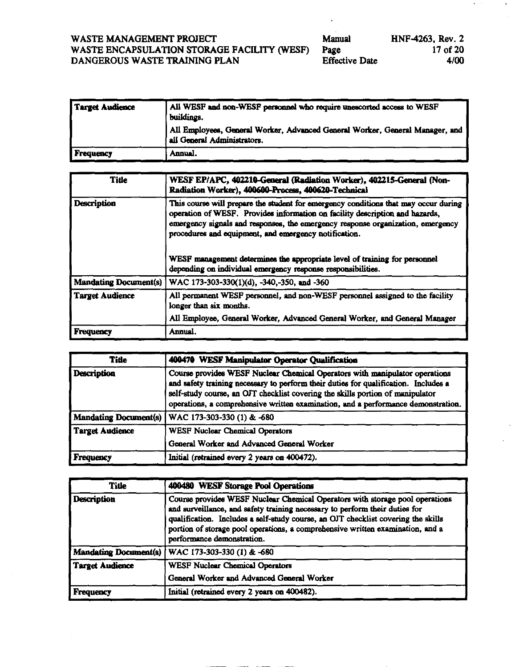| WASTE MANAGEMENT PROJECT                    |  |
|---------------------------------------------|--|
| WASTE ENCAPSULATION STORAGE FACILITY (WESF) |  |
| DANGEROUS WASTE TRAINING PLAN               |  |

| Manual                | HNF-4263, Rev. 2 |
|-----------------------|------------------|
| Page                  | $17$ of 20       |
| <b>Effective Date</b> | 4/00             |

 $\cdot$ 

 $\mathcal{H}=\mathcal{H}$ 

 $\mathcal{F}_{\mathcal{G}}$ 

 $\overline{\phantom{a}}$ 

| Target Audience  | All WESF and non-WESF personnel who require unescorted access to WESF<br>buildings.                         |
|------------------|-------------------------------------------------------------------------------------------------------------|
|                  | All Employees, General Worker, Advanced General Worker, General Manager, and<br>all General Administrators. |
| <i>Frequency</i> | Annual.                                                                                                     |

| Title                        | WESF EP/APC, 402210-General (Radiation Worker), 402215-General (Non-<br>Radiation Worker), 400600-Process, 400620-Technical                                                                                                                                                                                                                                                                   |  |
|------------------------------|-----------------------------------------------------------------------------------------------------------------------------------------------------------------------------------------------------------------------------------------------------------------------------------------------------------------------------------------------------------------------------------------------|--|
| <b>Description</b>           | This course will prepare the student for emergency conditions that may occur during<br>operation of WESF. Provides information on facility description and hazards,<br>emergency signals and responses, the emergency response organization, emergency<br>procedures and equipment, and emergency notification.<br>WESF management determines the appropriate level of training for personnel |  |
|                              | depending on individual emergency response responsibilities.                                                                                                                                                                                                                                                                                                                                  |  |
| <b>Mandating Document(s)</b> | WAC 173-303-330(1)(d), -340,-350, and -360                                                                                                                                                                                                                                                                                                                                                    |  |
| <b>Target Audience</b>       | All permanent WESF personnel, and non-WESF personnel assigned to the facility<br>longer than six months.                                                                                                                                                                                                                                                                                      |  |
|                              | All Employee, General Worker, Advanced General Worker, and General Manager                                                                                                                                                                                                                                                                                                                    |  |
| <b>Frequency</b>             | Annual.                                                                                                                                                                                                                                                                                                                                                                                       |  |

| <b>Title</b>       | 400470 WESF Manipulator Operator Qualification                                                                                                                                                                                                                                                                                            |  |  |  |  |
|--------------------|-------------------------------------------------------------------------------------------------------------------------------------------------------------------------------------------------------------------------------------------------------------------------------------------------------------------------------------------|--|--|--|--|
| <b>Description</b> | Course provides WESF Nuclear Chemical Operators with manipulator operations<br>and safety training necessary to perform their duties for qualification. Includes a<br>self-study course, an OJT checklist covering the skills portion of manipulator<br>operations, a comprehensive written examination, and a performance demonstration. |  |  |  |  |
|                    | Mandating Document(s)   WAC 173-303-330 (1) & -680                                                                                                                                                                                                                                                                                        |  |  |  |  |
| Target Audience    | <b>WESF Nuclear Chemical Operators</b>                                                                                                                                                                                                                                                                                                    |  |  |  |  |
|                    | General Worker and Advanced General Worker                                                                                                                                                                                                                                                                                                |  |  |  |  |
| Frequency          | Initial (retrained every 2 years on 400472).                                                                                                                                                                                                                                                                                              |  |  |  |  |

| <b>Title</b>           | <b>400480 WESF Storage Pool Operations</b>                                                                                                                                                                                                                                                                                                                       |
|------------------------|------------------------------------------------------------------------------------------------------------------------------------------------------------------------------------------------------------------------------------------------------------------------------------------------------------------------------------------------------------------|
| <b>Description</b>     | Course provides WESF Nuclear Chemical Operators with storage pool operations<br>and surveillance, and safety training necessary to perform their duties for<br>qualification. Includes a self-study course, an OJT checklist covering the skills<br>portion of storage pool operations, a comprehensive written examination, and a<br>performance demonstration. |
| Mandating Document(s)  | WAC 173-303-330 (1) & -680                                                                                                                                                                                                                                                                                                                                       |
| <b>Target Audience</b> | <b>WESF Nuclear Chemical Operators</b>                                                                                                                                                                                                                                                                                                                           |
|                        | General Worker and Advanced General Worker                                                                                                                                                                                                                                                                                                                       |
| Frequency              | Initial (retrained every 2 years on 400482).                                                                                                                                                                                                                                                                                                                     |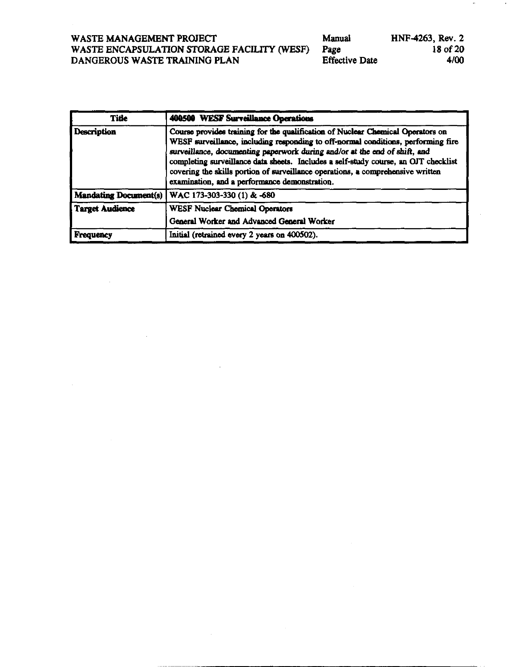$\sim 10^7$ 

| Manual                | HNF-4263, Rev. 2 |
|-----------------------|------------------|
| Page                  | 18 of 20         |
| <b>Effective Date</b> | 4/00             |

 $\alpha$ 

| <b>Title</b>                 | <b>400500 WESF Surveillance Operations</b>                                                                                                                                                                                                                                                                                                                                                                                                                                    |
|------------------------------|-------------------------------------------------------------------------------------------------------------------------------------------------------------------------------------------------------------------------------------------------------------------------------------------------------------------------------------------------------------------------------------------------------------------------------------------------------------------------------|
| <b>Description</b>           | Course provides training for the qualification of Nuclear Chemical Operators on<br>WESF surveillance, including responding to off-normal conditions, performing fire<br>surveillance, documenting paperwork during and/or at the end of shift, and<br>completing surveillance data sheets. Includes a self-study course, an OJT checklist<br>covering the skills portion of surveillance operations, a comprehensive written<br>examination, and a performance demonstration. |
| <b>Mandating Document(s)</b> | WAC 173-303-330 (1) & -680                                                                                                                                                                                                                                                                                                                                                                                                                                                    |
| <b>Target Audience</b>       | <b>WESF Nuclear Chemical Operators</b><br>General Worker and Advanced General Worker                                                                                                                                                                                                                                                                                                                                                                                          |
| Frequency                    | Initial (retrained every 2 years on 400502).                                                                                                                                                                                                                                                                                                                                                                                                                                  |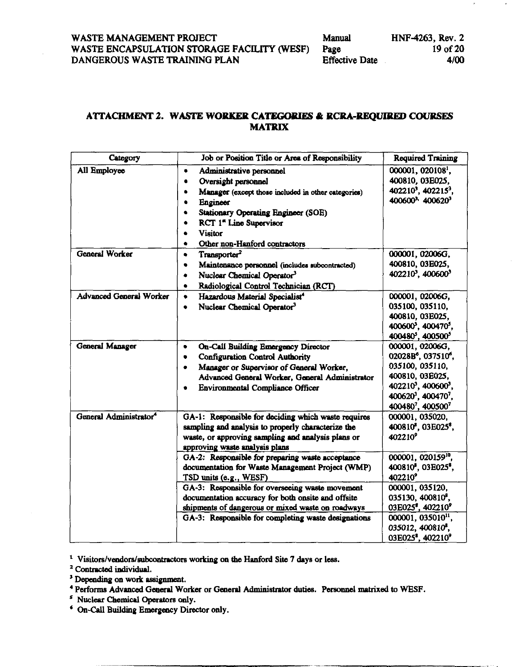#### ATTACHMENT 2. WASTE WORKER CATEGORIES & RCRA-REQUIRED COURSES **MATRIX**

| Category                           | Job or Position Title or Area of Responsibility                                                                                                                                                                                                                                                                                                                                                                                                                                                                                                          | <b>Required Training</b>                                                                                                                                                                                                                                                                                                                                                              |
|------------------------------------|----------------------------------------------------------------------------------------------------------------------------------------------------------------------------------------------------------------------------------------------------------------------------------------------------------------------------------------------------------------------------------------------------------------------------------------------------------------------------------------------------------------------------------------------------------|---------------------------------------------------------------------------------------------------------------------------------------------------------------------------------------------------------------------------------------------------------------------------------------------------------------------------------------------------------------------------------------|
| All Employee                       | Administrative personnel<br>$\bullet$<br>Oversight personnel<br>٠<br>Manager (except those included in other categories)<br>$\bullet$<br>Engineer<br><b>Stationary Operating Engineer (SOE)</b><br>٠<br>RCT 1 <sup>*</sup> Line Supervisor<br>۰<br><b>Visitor</b><br>٠<br>Other non-Hanford contractors<br>٠                                                                                                                                                                                                                                             | 000001, 020108 <sup>1</sup> ,<br>400810, 03E025,<br>402210 <sup>3</sup> , 402215 <sup>3</sup> ,<br>400600 <sup>3</sup> 400620 <sup>3</sup>                                                                                                                                                                                                                                            |
| <b>General Worker</b>              | Transporter <sup>2</sup><br>٠<br>Maintenance personnel (includes subcontracted)<br>٠<br>Nuclear Chemical Operator <sup>3</sup><br>٠<br>Radiological Control Technician (RCT)<br>۰                                                                                                                                                                                                                                                                                                                                                                        | 000001, 02006G,<br>400810, 03E025,<br>402210 <sup>3</sup> , 400600 <sup>3</sup>                                                                                                                                                                                                                                                                                                       |
| <b>Advanced General Worker</b>     | Hazardous Material Specialist <sup>4</sup><br>$\bullet$<br>Nuclear Chemical Operator <sup>3</sup><br>$\bullet$                                                                                                                                                                                                                                                                                                                                                                                                                                           | 000001, 02006G,<br>035100, 035110,<br>400810, 03E025,<br>400600 <sup>3</sup> , 400470 <sup>5</sup> ,<br>400480 <sup>5</sup> , 400500 <sup>5</sup>                                                                                                                                                                                                                                     |
| General Manager                    | On-Call Building Emergency Director<br>٠<br><b>Configuration Control Authority</b><br>٠<br>Manager or Supervisor of General Worker,<br>۰<br>Advanced General Worker, General Administrator<br>Environmental Compliance Officer                                                                                                                                                                                                                                                                                                                           | 000001, 02006G,<br>02028B <sup>6</sup> , 037510 <sup>6</sup> ,<br>035100, 035110,<br>400810, 03E025,<br>402210 <sup>3</sup> , 400600 <sup>3</sup> ,<br>400620 <sup>3</sup> , 400470 <sup>7</sup> ,<br>4004807, 4005007                                                                                                                                                                |
| General Administrator <sup>4</sup> | GA-1: Responsible for deciding which waste requires<br>sampling and analysis to properly characterize the<br>waste, or approving sampling and analysis plans or<br>approving waste analysis plans<br>GA-2: Responsible for preparing waste acceptance<br>documentation for Waste Management Project (WMP)<br>TSD units (e.g., WESF)<br>GA-3: Responsible for overseeing waste movement<br>documentation accuracy for both onsite and offsite<br>shipments of dangerous or mixed waste on roadways<br>GA-3: Responsible for completing waste designations | 000001, 035020,<br>400810 <sup>8</sup> , 03E025 <sup>8</sup> ,<br>402210 <sup>9</sup><br>000001, 020159 <sup>10</sup> ,<br>400810 <sup>8</sup> , 03E025 <sup>8</sup> ,<br>402210 <sup>9</sup><br>000001, 035120,<br>035130, 400810 <sup>8</sup> ,<br>03E025°, 402210°<br>000001, 035010 <sup>11</sup> ,<br>035012, 400810 <sup>8</sup> ,<br>03E025 <sup>8</sup> , 402210 <sup>9</sup> |

<sup>1</sup> Visitors/vendors/subcontractors working on the Hanford Site 7 days or less.

- <sup>3</sup> Depending on work assignment.
- <sup>4</sup> Performs Advanced General Worker or General Administrator duties. Personnel matrixed to WESF.
- <sup>5</sup> Nuclear Chemical Operators only.
- <sup>4</sup> On-Call Building Emergency Director only.

<sup>&</sup>lt;sup>2</sup> Contracted individual.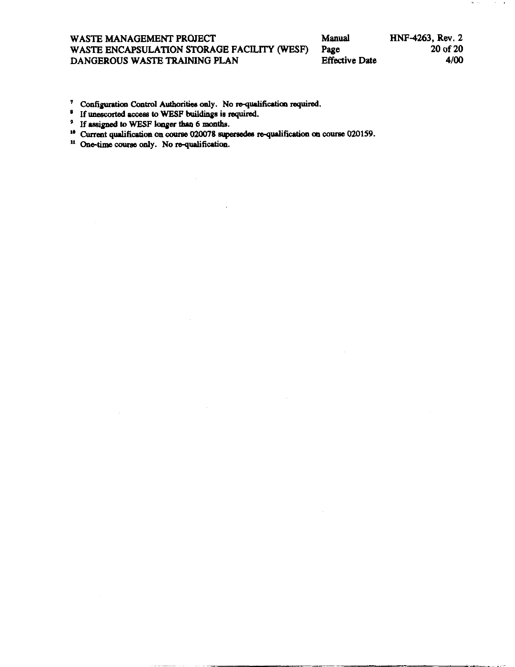#### **WASTE MANAGEMENT PROJECT**<br>
WASTE ENCAPSULATION STORAGE FACILITY (WESF) Page 20 of 20 **DANGEROUS WASTE TRAINING PLAN Effective Date 4/00**  WASTE ENCAPSULATION STORAGE FACILITY (WESF)

- <sup>7</sup> Configuration Control Authorities only. No re-qualification required.
- <sup>8</sup> If unescorted access to WESF buildings is required.
- 
- <sup>9</sup> If assigned to WESF longer than 6 months.<br><sup>16</sup> Current qualification on course 020078 supersedes re-qualification on course 020159.
- <sup>11</sup> One-time course only. No re-qualification.